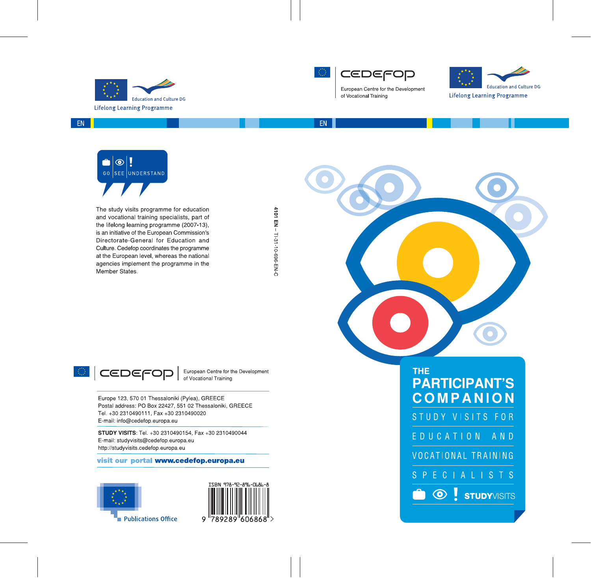



of Vocational Training

European Centre for the Development



EN



EN

The study visits programme for education and vocational training specialists, part of the lifelong learning programme (2007-13), is an initiative of the European Commission's Directorate-General for Education and Culture. Cedefop coordinates the programme at the European level, whereas the national agencies implement the programme in the Member States.

4101 EN - TI-31-10-696-EN-C



**PARTICIPANT'S** COMPANION

STUDY VISITS FOR

VOCATIONAL TRAINING

S P E C | A L | S T S

Ų  $\odot$ 

AND

**STUDYVISITS** 

EDUCATION



European Centre for the Development of Vocational Training

Europe 123, 570 01 Thessaloniki (Pylea), GREECE Postal address: PO Box 22427, 551 02 Thessaloniki, GREECE Tel. +30 2310490111, Fax +30 2310490020 E-mail: info@cedefop.europa.eu

STUDY VISITS: Tel. +30 2310490154, Fax +30 2310490044 E-mail: studyvisits@cedefop.europa.eu http://studyvisits.cedefop.europa.eu

#### visit our portal www.cedefop.europa.eu



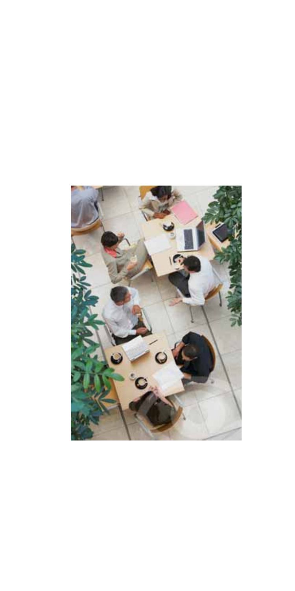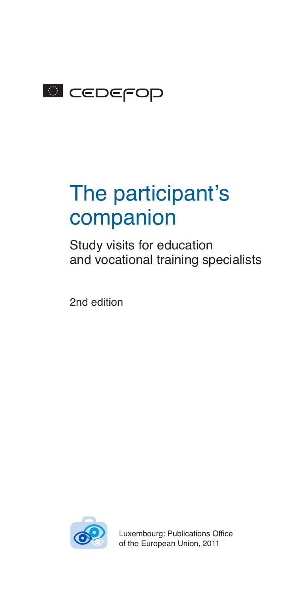## **E** CEDEFOP

## The participant's companion

Study visits for education and vocational training specialists

2nd edition



Luxembourg: Publications Office of the European Union, 2011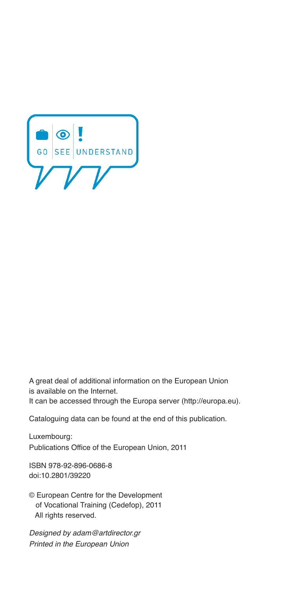

A great deal of additional information on the European Union is available on the Internet. It can be accessed through the Europa server (http://europa.eu).

Cataloguing data can be found at the end of this publication.

Luxembourg: Publications Office of the European Union, 2011

ISBN 978-92-896-0686-8 doi:10.2801/39220

© European Centre for the Development of Vocational Training (Cedefop), 2011 All rights reserved.

Designed by adam@artdirector.gr Printed in the European Union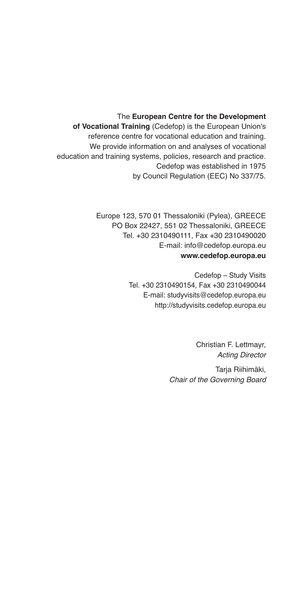The **European Centre for the Development of Vocational Training** (Cedefop) is the European Union's reference centre for vocational education and training. We provide information on and analyses of vocational education and training systems, policies, research and practice. Cedefop was established in 1975 by Council Regulation (EEC) No 337/75.

> Europe 123, 570 01 Thessaloniki (Pylea), GREECE PO Box 22427, 551 02 Thessaloniki, GREECE Tel. +30 2310490111, Fax +30 2310490020 E-mail: info@cedefop.europa.eu **www.cedefop.europa.eu**

> > Cedefop – Study Visits Tel. +30 2310490154, Fax +30 2310490044 E-mail: studyvisits@cedefop.europa.eu http://studyvisits.cedefop.europa.eu

> > > Christian F. Lettmayr, Acting Director

Tarja Riihimäki, Chair of the Governing Board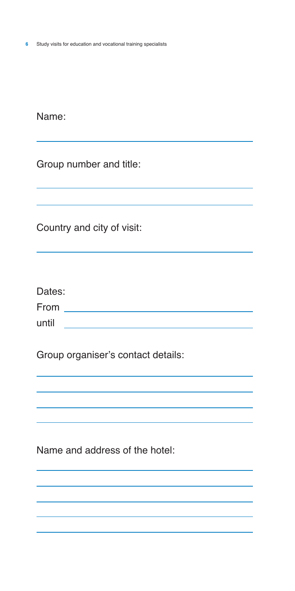**6** Study visits for education and vocational training specialists

Name:

Group number and title:

Country and city of visit:

Dates: From **Example 2018 From** until <u>\_\_\_\_\_\_\_\_\_\_\_\_\_\_\_\_\_\_\_\_\_\_\_\_\_\_</u>

Group organiser's contact details:

Name and address of the hotel: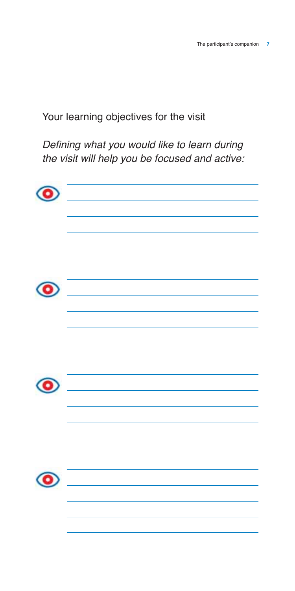#### Your learning objectives for the visit

#### Defining what you would like to learn during the visit will help you be focused and active:

| $\overline{\mathbf{o}}$    |                                                   |
|----------------------------|---------------------------------------------------|
| $\bullet$                  |                                                   |
| $\bullet$                  | <u> 1980 - Johann Barbara, martxa a</u>           |
| $\bf \widehat{\bm{\circ}}$ | <u> 1989 - Johann Barnett, fransk politiker (</u> |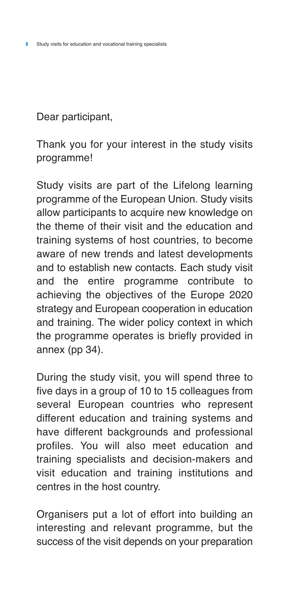Dear participant,

Thank you for your interest in the study visits programme!

Study visits are part of the Lifelong learning programme of the European Union. Study visits allow participants to acquire new knowledge on the theme of their visit and the education and training systems of host countries, to become aware of new trends and latest developments and to establish new contacts. Each study visit and the entire programme contribute to achieving the objectives of the Europe 2020 strategy and European cooperation in education and training. The wider policy context in which the programme operates is briefly provided in annex (pp 34).

During the study visit, you will spend three to five days in a group of 10 to 15 colleagues from several European countries who represent different education and training systems and have different backgrounds and professional profiles. You will also meet education and training specialists and decision-makers and visit education and training institutions and centres in the host country.

Organisers put a lot of effort into building an interesting and relevant programme, but the success of the visit depends on your preparation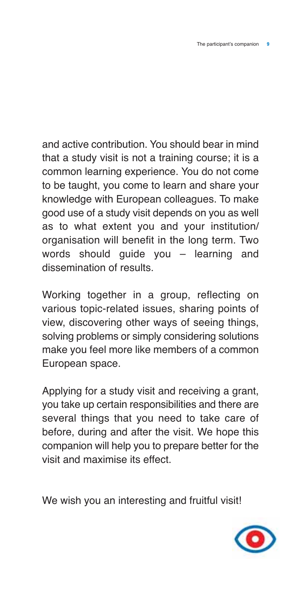and active contribution. You should bear in mind that a study visit is not a training course; it is a common learning experience. You do not come to be taught, you come to learn and share your knowledge with European colleagues. To make good use of a study visit depends on you as well as to what extent you and your institution/ organisation will benefit in the long term. Two words should guide you – learning and dissemination of results.

Working together in a group, reflecting on various topic-related issues, sharing points of view, discovering other ways of seeing things, solving problems or simply considering solutions make you feel more like members of a common European space.

Applying for a study visit and receiving a grant, you take up certain responsibilities and there are several things that you need to take care of before, during and after the visit. We hope this companion will help you to prepare better for the visit and maximise its effect.

We wish you an interesting and fruitful visit!

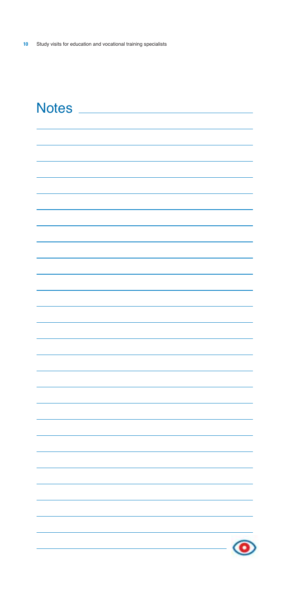| <b>Notes</b> |  |
|--------------|--|
|              |  |
|              |  |
|              |  |
|              |  |
|              |  |
|              |  |
|              |  |
|              |  |
|              |  |
|              |  |
|              |  |
|              |  |
|              |  |
|              |  |
|              |  |
|              |  |
|              |  |
|              |  |
|              |  |
|              |  |
|              |  |

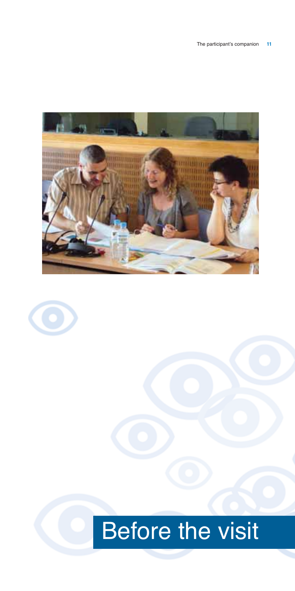



## **Before the visit**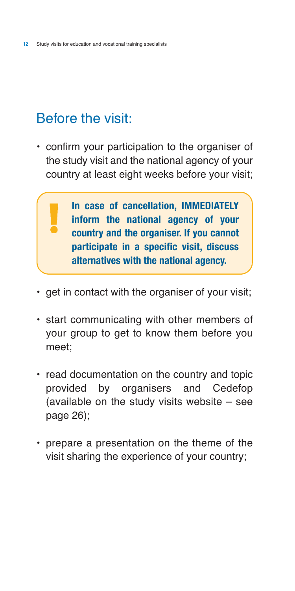## Before the visit:

• confirm your participation to the organiser of the study visit and the national agency of your country at least eight weeks before your visit;

> **In case of cancellation, IMMEDIATELY inform the national agency of your country and the organiser. If you cannot participate in a specific visit, discuss alternatives with the national agency.**

- get in contact with the organiser of your visit;
- start communicating with other members of your group to get to know them before you meet;
- read documentation on the country and topic provided by organisers and Cedefop (available on the study visits website – see page 26);
- prepare a presentation on the theme of the visit sharing the experience of your country;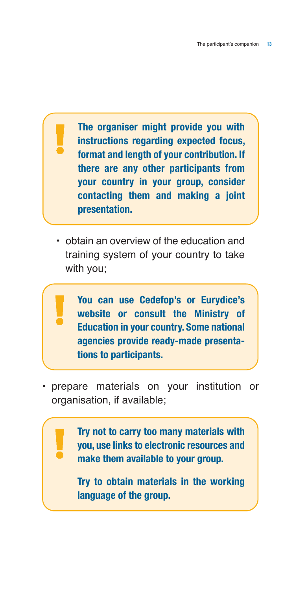**The organiser might provide you with instructions regarding expected focus, format and length of your contribution. If there are any other participants from your country in your group, consider contacting them and making a joint presentation.**

• obtain an overview of the education and training system of your country to take with you;

**You can use Cedefop's or Eurydice's website or consult the Ministry of Education in your country. Some national agencies provide ready-made presenta tions to participants.**

• prepare materials on your institution or organisation, if available;

> **Try not to carry too many materials with you, use links to electronic resources and make them available to your group.**

> **Try to obtain materials in the working language of the group.**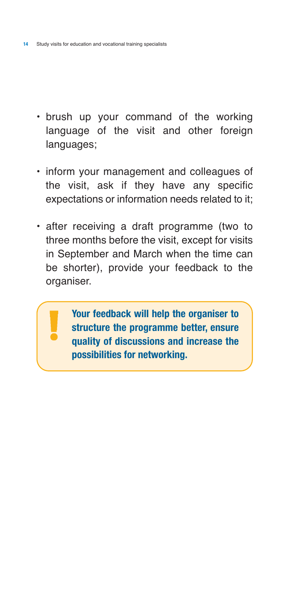- brush up your command of the working language of the visit and other foreign languages;
- inform your management and colleagues of the visit, ask if they have any specific expectations or information needs related to it;
- after receiving a draft programme (two to three months before the visit, except for visits in September and March when the time can be shorter), provide your feedback to the organiser.

**Your feedback will help the organiser to structure the programme better, ensure quality of discussions and increase the possibilities for networking.**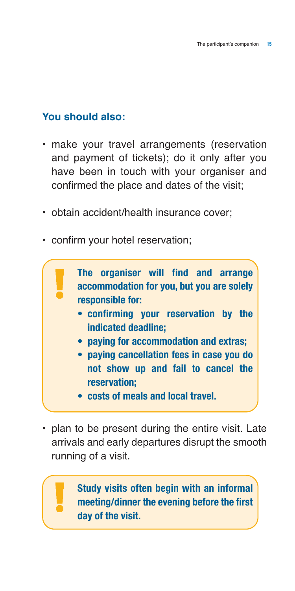#### **You should also:**

- make your travel arrangements (reservation and payment of tickets); do it only after you have been in touch with your organiser and confirmed the place and dates of the visit;
- obtain accident/health insurance cover;
- confirm your hotel reservation;

**The organiser will find and arrange accommodation for you, but you are solely responsible for:**

- **confirming your reservation by the indicated deadline;**
- **paying for accommodation and extras;**
- **paying cancellation fees in case you do not show up and fail to cancel the reservation;**
- **costs of meals and local travel.**
- plan to be present during the entire visit. Late arrivals and early departures disrupt the smooth running of a visit.

**Study visits often begin with an informal meeting/dinner the evening before the first day of the visit.**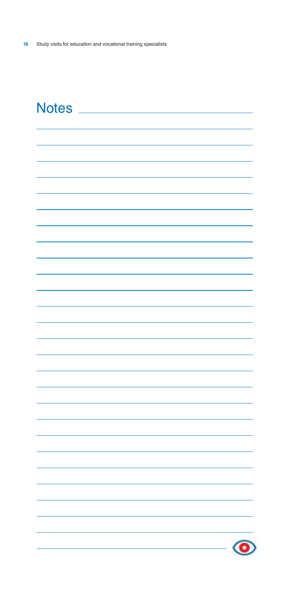| <b>Notes</b> |  |
|--------------|--|
|              |  |
|              |  |
|              |  |
|              |  |
|              |  |
|              |  |
|              |  |
|              |  |
|              |  |
|              |  |
|              |  |
|              |  |
|              |  |
|              |  |
|              |  |
|              |  |
|              |  |
|              |  |
|              |  |
|              |  |
|              |  |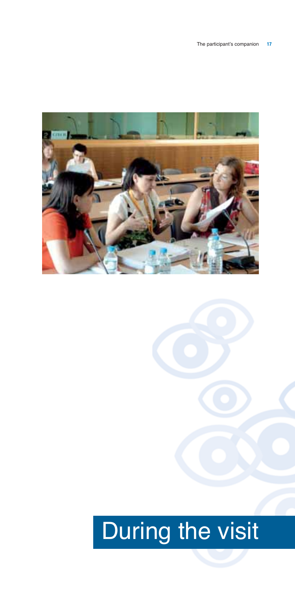

# During the visit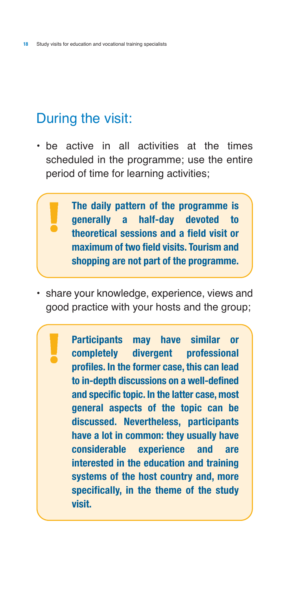## During the visit:

• be active in all activities at the times scheduled in the programme; use the entire period of time for learning activities;

> **The daily pattern of the programme is generally a half-day devoted to theoretical sessions and a field visit or maximum of two field visits. Tourism and shopping are not part of the programme.**

• share your knowledge, experience, views and good practice with your hosts and the group;

> **Participants may have similar or completely divergent professional profiles. In the former case, this can lead to in-depth discussions on a well-defined and specific topic. In the latter case, most general aspects of the topic can be discussed. Nevertheless, participants have a lot in common: they usually have considerable experience and are interested in the education and training systems of the host country and, more specifically, in the theme of the study visit.**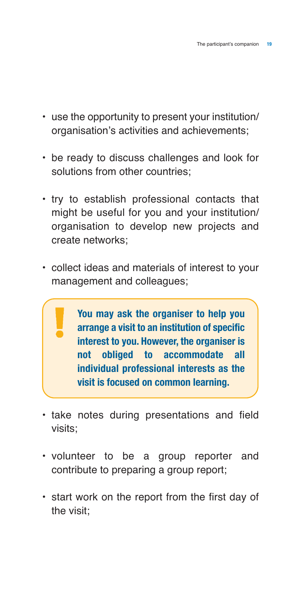- use the opportunity to present your institution/ organisation's activities and achievements;
- be ready to discuss challenges and look for solutions from other countries;
- try to establish professional contacts that might be useful for you and your institution/ organisation to develop new projects and create networks;
- collect ideas and materials of interest to your management and colleagues;

**You may ask the organiser to help you arrange a visit to an institution of specific interest to you. However, the organiser is not obliged to accommodate all individual professional interests as the visit is focused on common learning.**

- take notes during presentations and field visits;
- volunteer to be a group reporter and contribute to preparing a group report;
- start work on the report from the first day of the visit;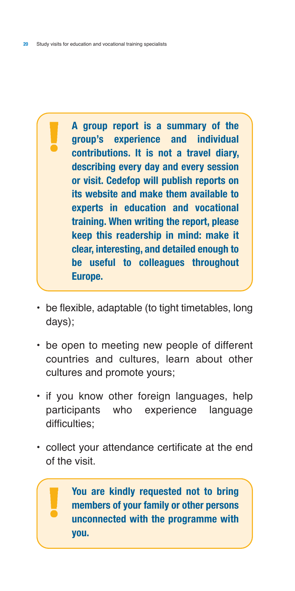**A group report is a summary of the group's experience and individual contributions. It is not a travel diary, describing every day and every session or visit. Cedefop will publish reports on its website and make them available to experts in education and vocational training. When writing the report, please keep this readership in mind: make it clear, interesting, and detailed enough to be useful to colleagues throughout Europe.**

- be flexible, adaptable (to tight timetables, long days);
- be open to meeting new people of different countries and cultures, learn about other cultures and promote yours;
- if you know other foreign languages, help participants who experience language difficulties;
- collect your attendance certificate at the end of the visit.

**You are kindly requested not to bring members of your family or other persons unconnected with the programme with you.**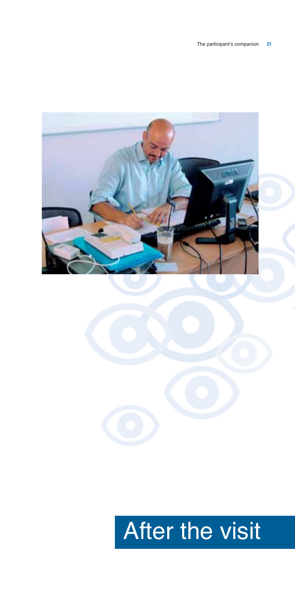

## After the visit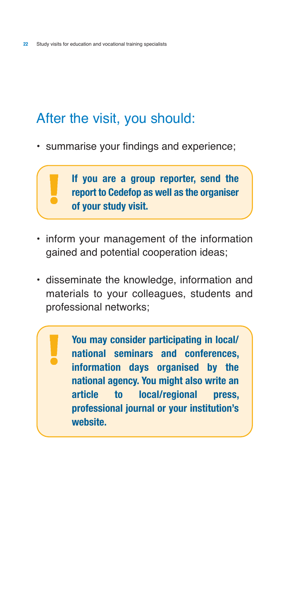## After the visit, you should:

• summarise your findings and experience;

**If you are a group reporter, send the report to Cedefop as well as the organiser of your study visit.**

- inform your management of the information gained and potential cooperation ideas;
- disseminate the knowledge, information and materials to your colleagues, students and professional networks;

**You may consider participating in local/ national seminars and conferences, information days organised by the national agency. You might also write an article to local/regional press, professional journal or your institution's website.**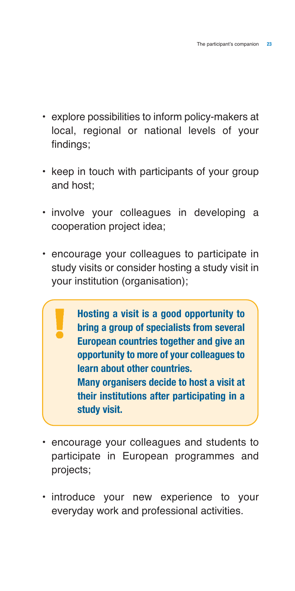- explore possibilities to inform policy-makers at local, regional or national levels of your findings;
- keep in touch with participants of your group and host;
- involve your colleagues in developing a cooperation project idea;
- encourage your colleagues to participate in study visits or consider hosting a study visit in your institution (organisation);

**Hosting a visit is a good opportunity to bring a group of specialists from several European countries together and give an opportunity to more of your colleagues to learn about other countries. Many organisers decide to host a visit at their institutions after participating in a study visit.**

- encourage your colleagues and students to participate in European programmes and projects;
- introduce your new experience to your everyday work and professional activities.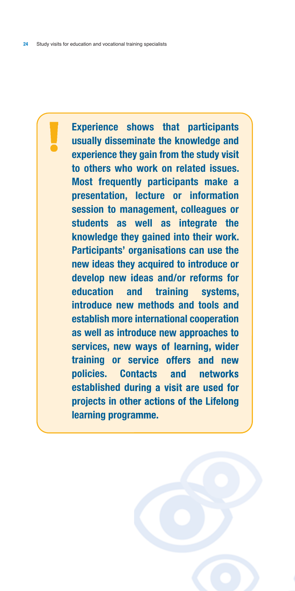**Experience shows that participants usually disseminate the knowledge and experience they gain from the study visit to others who work on related issues. Most frequently participants make a presentation, lecture or information session to management, colleagues or students as well as integrate the knowledge they gained into their work. Participants' organisations can use the new ideas they acquired to introduce or develop new ideas and/or reforms for education and training systems, introduce new methods and tools and establish more international cooperation as well as introduce new approaches to services, new ways of learning, wider training or service offers and new policies. Contacts and networks established during a visit are used for projects in other actions of the Lifelong learning programme.**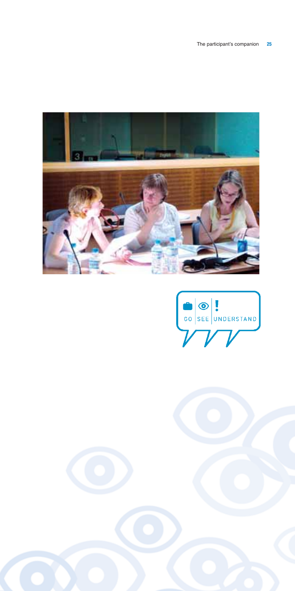

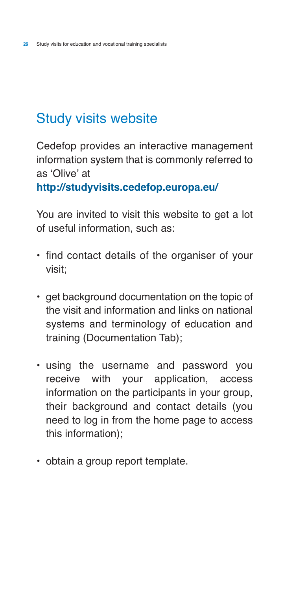## Study visits website

Cedefop provides an interactive management information system that is commonly referred to as ʻOlive' at

**http://studyvisits.cedefop.europa.eu/**

You are invited to visit this website to get a lot of useful information, such as:

- find contact details of the organiser of your visit;
- get background documentation on the topic of the visit and information and links on national systems and terminology of education and training (Documentation Tab);
- using the username and password you receive with your application, access information on the participants in your group, their background and contact details (you need to log in from the home page to access this information);
- obtain a group report template.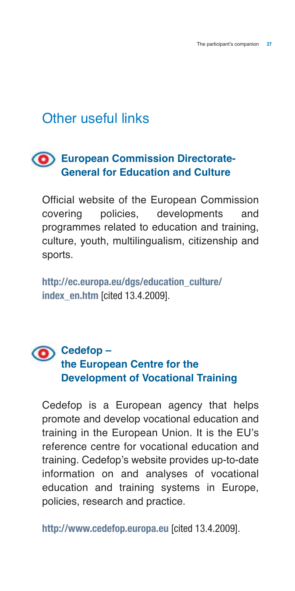### Other useful links

#### **C** European Commission Directorate-**General for Education and Culture**

Official website of the European Commission covering policies, developments and programmes related to education and training, culture, youth, multilingualism, citizenship and sports.

**http://ec.europa.eu/dgs/education\_culture/ index\_en.htm** [cited 13.4.2009].

#### **Cedefop – the European Centre for the Development of Vocational Training**

Cedefop is a European agency that helps promote and develop vocational education and training in the European Union. It is the EU's reference centre for vocational education and training. Cedefop's website provides up-to-date information on and analyses of vocational education and training systems in Europe, policies, research and practice.

**http://www.cedefop.europa.eu** [cited 13.4.2009].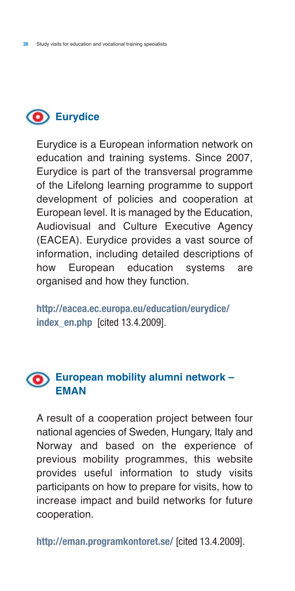

Eurydice is a European information network on education and training systems. Since 2007, Eurydice is part of the transversal programme of the Lifelong learning programme to support development of policies and cooperation at European level. It is managed by the Education, Audiovisual and Culture Executive Agency (EACEA). Eurydice provides a vast source of information, including detailed descriptions of how European education systems are organised and how they function.

**[http://eacea.ec.europa.eu/education/eurydice/](http://eacea.ec.europa.eu/education/eurydice/index_en.php) index\_en.php** [cited 13.4.2009].

#### **European mobility alumni network – EMAN**

A result of a cooperation project between four national agencies of Sweden, Hungary, Italy and Norway and based on the experience of previous mobility programmes, this website provides useful information to study visits participants on how to prepare for visits, how to increase impact and build networks for future cooperation.

**http://eman.programkontoret.se/** [cited 13.4.2009].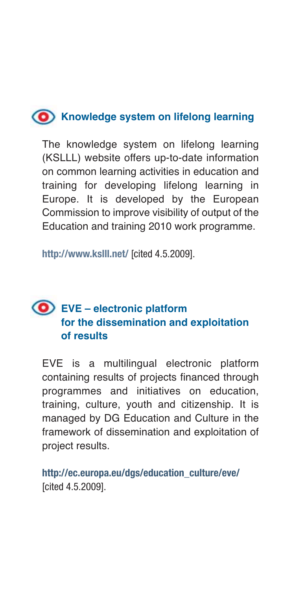## **Knowledge system on lifelong learning**

The knowledge system on lifelong learning (KSLLL) website offers up-to-date information on common learning activities in education and training for developing lifelong learning in Europe. It is developed by the European Commission to improve visibility of output of the Education and training 2010 work programme.

**http://www.kslll.net/** [cited 4.5.2009].

#### **EVE – electronic platform for the dissemination and exploitation of results**

EVE is a multilingual electronic platform containing results of projects financed through programmes and initiatives on education, training, culture, youth and citizenship. It is managed by DG Education and Culture in the framework of dissemination and exploitation of project results.

**http://ec.europa.eu/dgs/education\_culture/eve/** [cited 4.5.2009].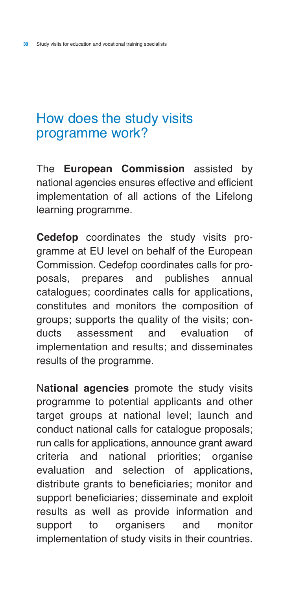### How does the study visits programme work?

The **European Commission** assisted by national agencies ensures effective and efficient implementation of all actions of the Lifelong learning programme.

**Cedefop** coordinates the study visits programme at EU level on behalf of the European Commission. Cedefop coordinates calls for proposals, prepares and publishes annual catalogues; coordinates calls for applications, constitutes and monitors the composition of groups; supports the quality of the visits; conducts assessment and evaluation of implementation and results; and disseminates results of the programme.

N**ational agencies** promote the study visits programme to potential applicants and other target groups at national level; launch and conduct national calls for catalogue proposals; run calls for applications, announce grant award criteria and national priorities; organise evaluation and selection of applications, distribute grants to beneficiaries; monitor and support beneficiaries; disseminate and exploit results as well as provide information and support to organisers and monitor implementation of study visits in their countries.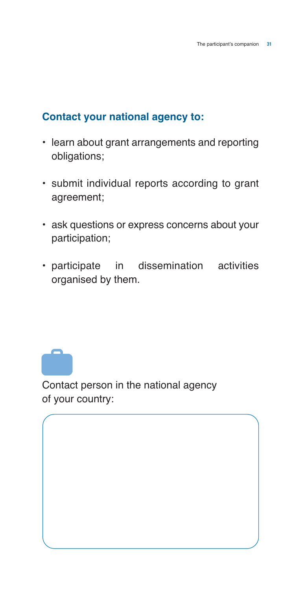#### **Contact your national agency to:**

- learn about grant arrangements and reporting obligations;
- submit individual reports according to grant agreement;
- ask questions or express concerns about your participation;
- participate in dissemination activities organised by them.

Contact person in the national agency of your country: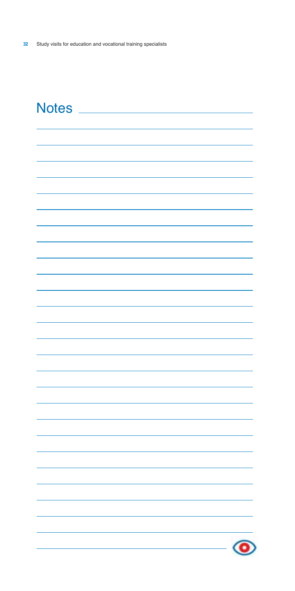| <b>Notes</b> |  |  |
|--------------|--|--|
|              |  |  |
|              |  |  |
|              |  |  |
|              |  |  |
|              |  |  |
|              |  |  |
|              |  |  |
|              |  |  |
|              |  |  |
|              |  |  |
|              |  |  |
|              |  |  |
|              |  |  |
|              |  |  |
|              |  |  |
|              |  |  |
|              |  |  |
|              |  |  |
|              |  |  |
|              |  |  |
|              |  |  |
|              |  |  |
|              |  |  |
|              |  |  |
|              |  |  |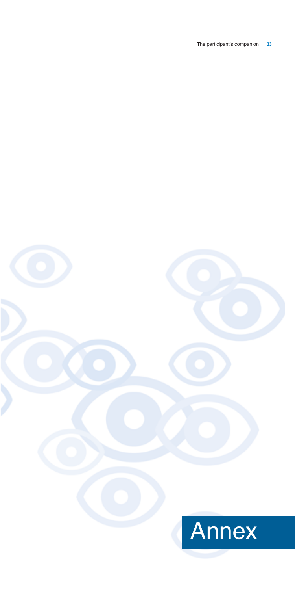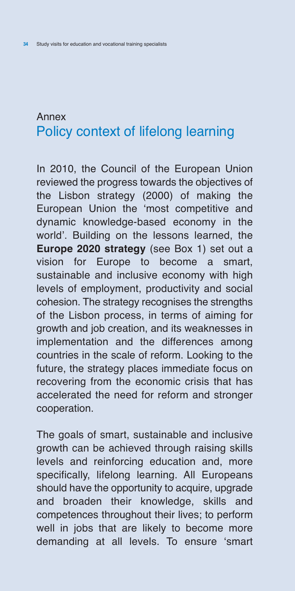#### Annex Policy context of lifelong learning

In 2010, the Council of the European Union reviewed the progress towards the objectives of the Lisbon strategy (2000) of making the European Union the ʻmost competitive and dynamic knowledge-based economy in the world'. Building on the lessons learned, the **Europe 2020 strategy** (see Box 1) set out a vision for Europe to become a smart, sustainable and inclusive economy with high levels of employment, productivity and social cohesion. The strategy recognises the strengths of the Lisbon process, in terms of aiming for growth and job creation, and its weaknesses in implementation and the differences among countries in the scale of reform. Looking to the future, the strategy places immediate focus on recovering from the economic crisis that has accelerated the need for reform and stronger cooperation.

The goals of smart, sustainable and inclusive growth can be achieved through raising skills levels and reinforcing education and, more specifically, lifelong learning. All Europeans should have the opportunity to acquire, upgrade and broaden their knowledge, skills and competences throughout their lives; to perform well in jobs that are likely to become more demanding at all levels. To ensure ʻsmart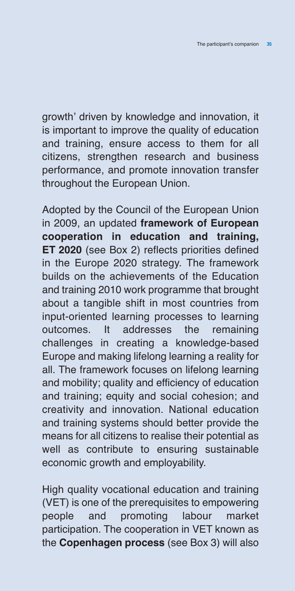growth' driven by knowledge and innovation, it is important to improve the quality of education and training, ensure access to them for all citizens, strengthen research and business performance, and promote innovation transfer throughout the European Union.

Adopted by the Council of the European Union in 2009, an updated **framework of European cooperation in education and training, ET 2020** (see Box 2) reflects priorities defined in the Europe 2020 strategy. The framework builds on the achievements of the Education and training 2010 work programme that brought about a tangible shift in most countries from input-oriented learning processes to learning outcomes. It addresses the remaining challenges in creating a knowledge-based Europe and making lifelong learning a reality for all. The framework focuses on lifelong learning and mobility; quality and efficiency of education and training; equity and social cohesion; and creativity and innovation. National education and training systems should better provide the means for all citizens to realise their potential as well as contribute to ensuring sustainable economic growth and employability.

High quality vocational education and training (VET) is one of the prerequisites to empowering people and promoting labour market participation. The cooperation in VET known as the **Copenhagen process** (see Box 3) will also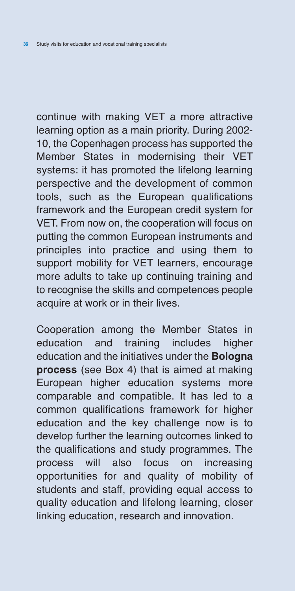continue with making VET a more attractive learning option as a main priority. During 2002- 10, the Copenhagen process has supported the Member States in modernising their VET systems: it has promoted the lifelong learning perspective and the development of common tools, such as the European qualifications framework and the European credit system for VET. From now on, the cooperation will focus on putting the common European instruments and principles into practice and using them to support mobility for VET learners, encourage more adults to take up continuing training and to recognise the skills and competences people acquire at work or in their lives.

Cooperation among the Member States in education and training includes higher education and the initiatives under the **Bologna process** (see Box 4) that is aimed at making European higher education systems more comparable and compatible. It has led to a common qualifications framework for higher education and the key challenge now is to develop further the learning outcomes linked to the qualifications and study programmes. The process will also focus on increasing opportunities for and quality of mobility of students and staff, providing equal access to quality education and lifelong learning, closer linking education, research and innovation.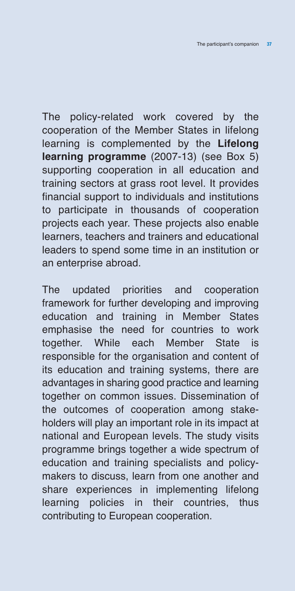The policy-related work covered by the cooperation of the Member States in lifelong learning is complemented by the **Lifelong learning programme** (2007-13) (see Box 5) supporting cooperation in all education and training sectors at grass root level. It provides financial support to individuals and institutions to participate in thousands of cooperation projects each year. These projects also enable learners, teachers and trainers and educational leaders to spend some time in an institution or an enterprise abroad.

The updated priorities and cooperation framework for further developing and improving education and training in Member States emphasise the need for countries to work together. While each Member State is responsible for the organisation and content of its education and training systems, there are advantages in sharing good practice and learning together on common issues. Dissemination of the outcomes of cooperation among stakeholders will play an important role in its impact at national and European levels. The study visits programme brings together a wide spectrum of education and training specialists and policymakers to discuss, learn from one another and share experiences in implementing lifelong learning policies in their countries, thus contributing to European cooperation.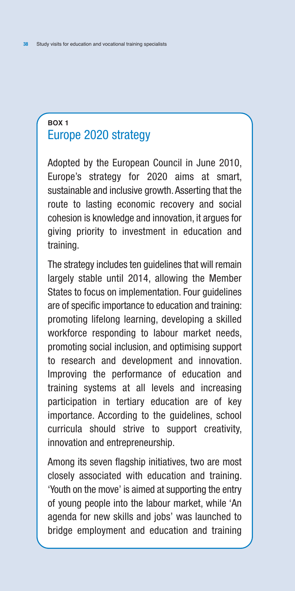#### **BOX 1** Europe 2020 strategy

Adopted by the European Council in June 2010, Europe's strategy for 2020 aims at smart, sustainable and inclusive growth. Asserting that the route to lasting economic recovery and social cohesion is knowledge and innovation, it argues for giving priority to investment in education and training.

The strategy includes ten guidelines that will remain largely stable until 2014, allowing the Member States to focus on implementation. Four guidelines are of specific importance to education and training: promoting lifelong learning, developing a skilled workforce responding to labour market needs, promoting social inclusion, and optimising support to research and development and innovation. Improving the performance of education and training systems at all levels and increasing participation in tertiary education are of key importance. According to the guidelines, school curricula should strive to support creativity, innovation and entrepreneurship.

Among its seven flagship initiatives, two are most closely associated with education and training. 'Youth on the move' is aimed at supporting the entry of young people into the labour market, while 'An agenda for new skills and jobs' was launched to bridge employment and education and training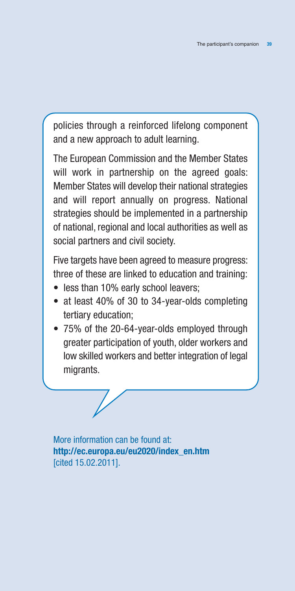policies through a reinforced lifelong component and a new approach to adult learning.

The European Commission and the Member States will work in partnership on the agreed goals: Member States will develop their national strategies and will report annually on progress. National strategies should be implemented in a partnership of national, regional and local authorities as well as social partners and civil society.

Five targets have been agreed to measure progress: three of these are linked to education and training:

- less than 10% early school leavers;
- at least 40% of 30 to 34-year-olds completing tertiary education;
- 75% of the 20-64-year-olds employed through greater participation of youth, older workers and low skilled workers and better integration of legal migrants.

More information can be found at: **http://ec.europa.eu/eu2020/index\_en.htm**  [cited 15.02.2011].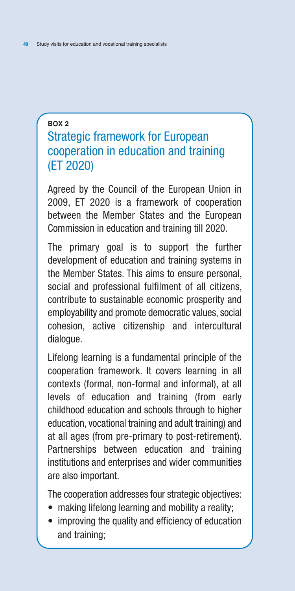## **BOX 2**

#### Strategic framework for European cooperation in education and training (ET 2020)

Agreed by the Council of the European Union in 2009, ET 2020 is a framework of cooperation between the Member States and the European Commission in education and training till 2020.

The primary goal is to support the further development of education and training systems in the Member States. This aims to ensure personal, social and professional fulfilment of all citizens, contribute to sustainable economic prosperity and employability and promote democratic values, social cohesion, active citizenship and intercultural dialogue.

Lifelong learning is a fundamental principle of the cooperation framework. It covers learning in all contexts (formal, non-formal and informal), at all levels of education and training (from early childhood education and schools through to higher education, vocational training and adult training) and at all ages (from pre-primary to post-retirement). Partnerships between education and training institutions and enterprises and wider communities are also important.

The cooperation addresses four strategic objectives:

- making lifelong learning and mobility a reality;
- improving the quality and efficiency of education and training;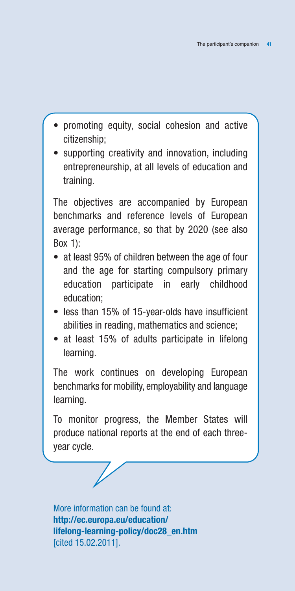- promoting equity, social cohesion and active citizenship;
- supporting creativity and innovation, including entrepreneurship, at all levels of education and training.

The objectives are accompanied by European benchmarks and reference levels of European average performance, so that by 2020 (see also Box 1):

- at least 95% of children between the age of four and the age for starting compulsory primary education participate in early childhood education;
- less than 15% of 15-year-olds have insufficient abilities in reading, mathematics and science;
- at least 15% of adults participate in lifelong learning.

The work continues on developing European benchmarks for mobility, employability and language learning.

To monitor progress, the Member States will produce national reports at the end of each threeyear cycle.

More information can be found at: **http://ec.europa.eu/education/ [lifelong-learning-policy/doc28\\_en.htm](http://ec.europa.eu/education/lifelong-learning-policy/doc28_en.htm)**  [cited 15.02.2011].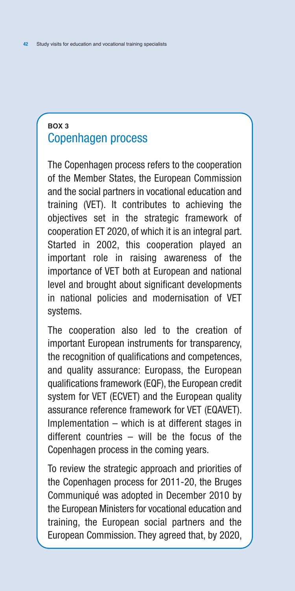#### **BOX 3** Copenhagen process

The Copenhagen process refers to the cooperation of the Member States, the European Commission and the social partners in vocational education and training (VET). It contributes to achieving the objectives set in the strategic framework of cooperation ET 2020, of which it is an integral part. Started in 2002, this cooperation played an important role in raising awareness of the importance of VET both at European and national level and brought about significant developments in national policies and modernisation of VET systems.

The cooperation also led to the creation of important European instruments for transparency, the recognition of qualifications and competences, and quality assurance: Europass, the European qualifications framework (EQF), the European credit system for VET (ECVET) and the European quality assurance reference framework for VET (EQAVET). Implementation – which is at different stages in different countries – will be the focus of the Copenhagen process in the coming years.

To review the strategic approach and priorities of the Copenhagen process for 2011-20, the Bruges Communiqué was adopted in December 2010 by the European Ministers for vocational education and training, the European social partners and the European Commission. They agreed that, by 2020,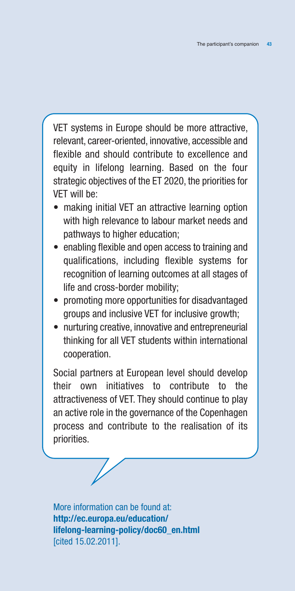VET systems in Europe should be more attractive, relevant, career-oriented, innovative, accessible and flexible and should contribute to excellence and equity in lifelong learning. Based on the four strategic objectives of the ET 2020, the priorities for VET will be:

- making initial VET an attractive learning option with high relevance to labour market needs and pathways to higher education;
- enabling flexible and open access to training and qualifications, including flexible systems for recognition of learning outcomes at all stages of life and cross-border mobility;
- promoting more opportunities for disadvantaged groups and inclusive VET for inclusive growth;
- nurturing creative, innovative and entrepreneurial thinking for all VET students within international cooperation.

Social partners at European level should develop their own initiatives to contribute to the attractiveness of VET. They should continue to play an active role in the governance of the Copenhagen process and contribute to the realisation of its priorities.

More information can be found at: **http://ec.europa.eu/education/ [lifelong-learning-policy/doc60\\_en.html](http://ec.europa.eu/education/lifelong-learning-policy/doc60_en.htm)**  [cited 15.02.2011].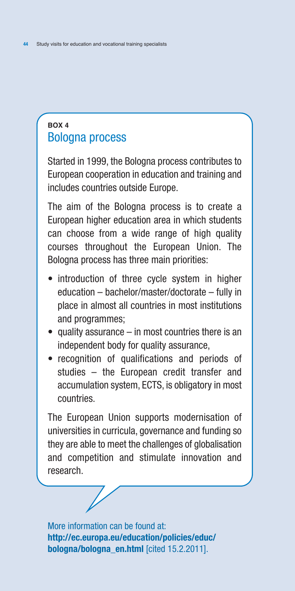#### **BOX 4** Bologna process

Started in 1999, the Bologna process contributes to European cooperation in education and training and includes countries outside Europe.

The aim of the Bologna process is to create a European higher education area in which students can choose from a wide range of high quality courses throughout the European Union. The Bologna process has three main priorities:

- introduction of three cycle system in higher education – bachelor/master/doctorate – fully in place in almost all countries in most institutions and programmes;
- quality assurance in most countries there is an independent body for quality assurance,
- recognition of qualifications and periods of studies – the European credit transfer and accumulation system, ECTS, is obligatory in most countries.

The European Union supports modernisation of universities in curricula, governance and funding so they are able to meet the challenges of globalisation and competition and stimulate innovation and research.

More information can be found at: **[http://ec.europa.eu/education/policies/educ/](http://ec.europa.eu/education/higher-education/doc1290_en.htm) bologna/bologna\_en.html** [cited 15.2.2011].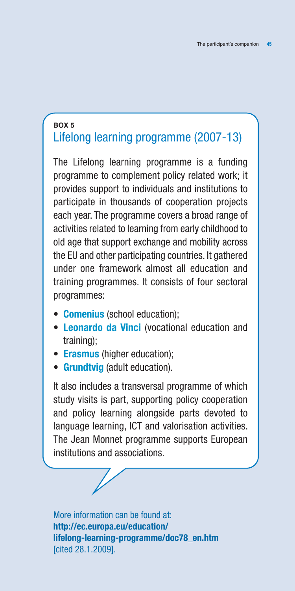#### **BOX 5** Lifelong learning programme (2007-13)

The Lifelong learning programme is a funding programme to complement policy related work; it provides support to individuals and institutions to participate in thousands of cooperation projects each year. The programme covers a broad range of activities related to learning from early childhood to old age that support exchange and mobility across the EU and other participating countries. It gathered under one framework almost all education and training programmes. It consists of four sectoral programmes:

- **Comenius** (school education);
- **Leonardo da Vinci** (vocational education and training);
- **Erasmus** (higher education);
- **Grundtvig** (adult education).

It also includes a transversal programme of which study visits is part, supporting policy cooperation and policy learning alongside parts devoted to language learning, ICT and valorisation activities. The Jean Monnet programme supports European institutions and associations.

More information can be found at: **http://ec.europa.eu/education/ [lifelong-learning-programme/doc78\\_en.htm](http://ec.europa.eu/education/lifelong-learning-programme/doc78_en.htm)**  [cited 28.1.2009].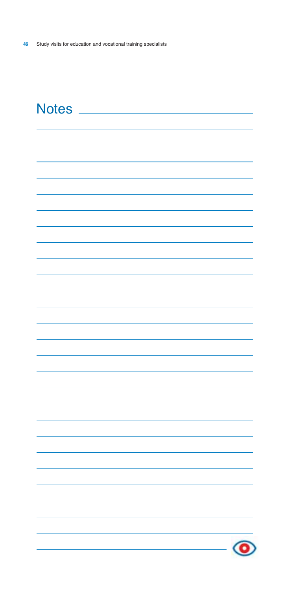| <b>Notes</b> |  |
|--------------|--|
|              |  |
|              |  |
|              |  |
|              |  |
|              |  |
|              |  |
|              |  |
|              |  |
|              |  |
|              |  |
|              |  |
|              |  |
|              |  |
|              |  |
|              |  |
|              |  |
|              |  |
|              |  |
|              |  |
|              |  |
|              |  |
|              |  |
|              |  |